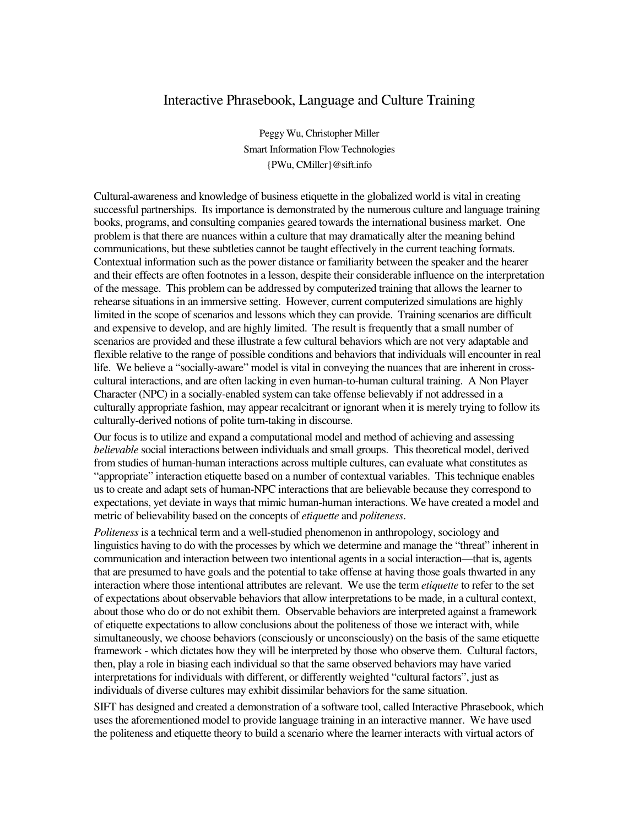## Interactive Phrasebook, Language and Culture Training

Peggy Wu, Christopher Miller Smart Information Flow Technologies {PWu, CMiller}@sift.info

Cultural-awareness and knowledge of business etiquette in the globalized world is vital in creating successful partnerships. Its importance is demonstrated by the numerous culture and language training books, programs, and consulting companies geared towards the international business market. One problem is that there are nuances within a culture that may dramatically alter the meaning behind communications, but these subtleties cannot be taught effectively in the current teaching formats. Contextual information such as the power distance or familiarity between the speaker and the hearer and their effects are often footnotes in a lesson, despite their considerable influence on the interpretation of the message. This problem can be addressed by computerized training that allows the learner to rehearse situations in an immersive setting. However, current computerized simulations are highly limited in the scope of scenarios and lessons which they can provide. Training scenarios are difficult and expensive to develop, and are highly limited. The result is frequently that a small number of scenarios are provided and these illustrate a few cultural behaviors which are not very adaptable and flexible relative to the range of possible conditions and behaviors that individuals will encounter in real life. We believe a "socially-aware" model is vital in conveying the nuances that are inherent in crosscultural interactions, and are often lacking in even human-to-human cultural training. A Non Player Character (NPC) in a socially-enabled system can take offense believably if not addressed in a culturally appropriate fashion, may appear recalcitrant or ignorant when it is merely trying to follow its culturally-derived notions of polite turn-taking in discourse.

Our focus is to utilize and expand a computational model and method of achieving and assessing *believable* social interactions between individuals and small groups. This theoretical model, derived from studies of human-human interactions across multiple cultures, can evaluate what constitutes as "appropriate" interaction etiquette based on a number of contextual variables. This technique enables us to create and adapt sets of human-NPC interactions that are believable because they correspond to expectations, yet deviate in ways that mimic human-human interactions. We have created a model and metric of believability based on the concepts of *etiquette* and *politeness*.

*Politeness* is a technical term and a well-studied phenomenon in anthropology, sociology and linguistics having to do with the processes by which we determine and manage the "threat" inherent in communication and interaction between two intentional agents in a social interaction—that is, agents that are presumed to have goals and the potential to take offense at having those goals thwarted in any interaction where those intentional attributes are relevant. We use the term *etiquette* to refer to the set of expectations about observable behaviors that allow interpretations to be made, in a cultural context, about those who do or do not exhibit them. Observable behaviors are interpreted against a framework of etiquette expectations to allow conclusions about the politeness of those we interact with, while simultaneously, we choose behaviors (consciously or unconsciously) on the basis of the same etiquette framework - which dictates how they will be interpreted by those who observe them. Cultural factors, then, play a role in biasing each individual so that the same observed behaviors may have varied interpretations for individuals with different, or differently weighted "cultural factors", just as individuals of diverse cultures may exhibit dissimilar behaviors for the same situation.

SIFT has designed and created a demonstration of a software tool, called Interactive Phrasebook, which uses the aforementioned model to provide language training in an interactive manner. We have used the politeness and etiquette theory to build a scenario where the learner interacts with virtual actors of